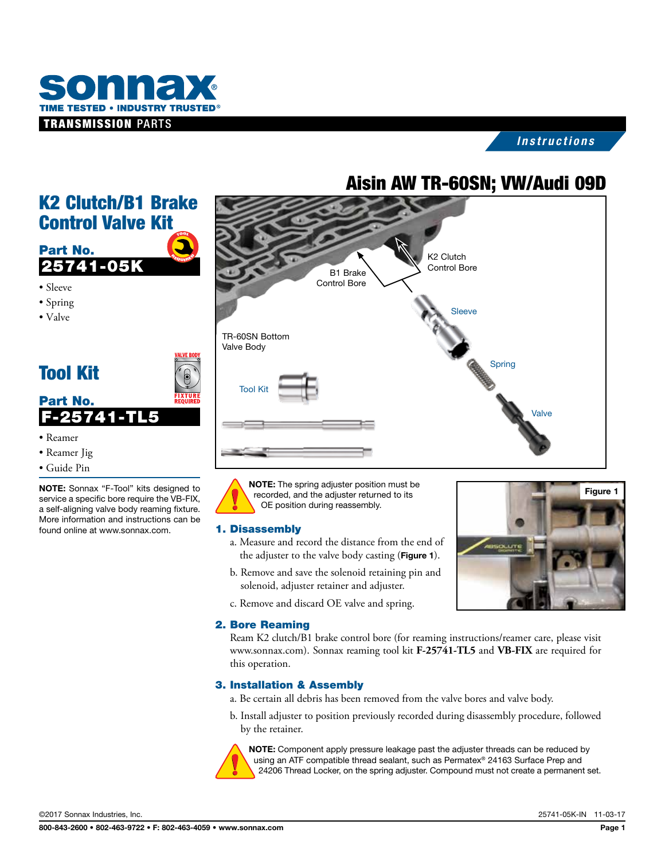

# *Instructions*

# Aisin AW TR-60SN; VW/Audi 09D



Control Valve Kit TOOL TOOL 100



- Sleeve
- Spring
- Valve

# Tool Kit

Part No.

F-25741-TL5



- Reamer
- Reamer Jig
- Guide Pin

NOTE: Sonnax "F-Tool" kits designed to service a specific bore require the VB-FIX, a self-aligning valve body reaming fixture. More information and instructions can be found online at www.sonnax.com.

NOTE: The spring adjuster position must be recorded, and the adjuster returned to its OE position during reassembly.

#### 1. Disassembly

- a. Measure and record the distance from the end of the adjuster to the valve body casting (Figure 1).
- b. Remove and save the solenoid retaining pin and solenoid, adjuster retainer and adjuster.
- c. Remove and discard OE valve and spring.

#### 2. Bore Reaming

Figure 1

Ream K2 clutch/B1 brake control bore (for reaming instructions/reamer care, please visit www.sonnax.com). Sonnax reaming tool kit **F-25741-TL5** and **VB-FIX** are required for this operation.

## 3. Installation & Assembly

- a. Be certain all debris has been removed from the valve bores and valve body.
- b. Install adjuster to position previously recorded during disassembly procedure, followed by the retainer.



NOTE: Component apply pressure leakage past the adjuster threads can be reduced by using an ATF compatible thread sealant, such as Permatex® 24163 Surface Prep and 24206 Thread Locker, on the spring adjuster. Compound must not create a permanent set.